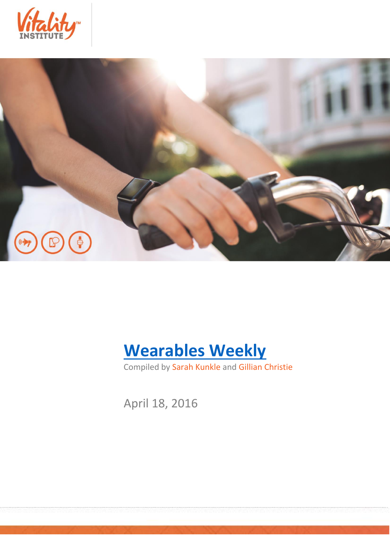





Compiled by Sarah Kunkle and Gillian Christie

April 18, 2016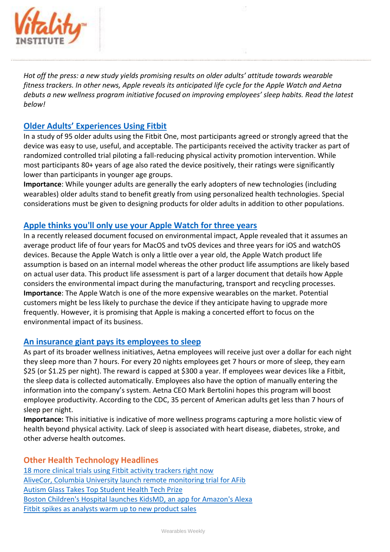

*Hot off the press: a new study yields promising results on older adults' attitude towards wearable fitness trackers. In other news, Apple reveals its anticipated life cycle for the Apple Watch and Aetna debuts a new wellness program initiative focused on improving employees' sleep habits. Read the latest below!*

## **[Older Adults' Experiences Using Fitbit](http://mhealth.jmir.org/2016/2/e35/)**

In a study of 95 older adults using the Fitbit One, most participants agreed or strongly agreed that the device was easy to use, useful, and acceptable. The participants received the activity tracker as part of randomized controlled trial piloting a fall-reducing physical activity promotion intervention. While most participants 80+ years of age also rated the device positively, their ratings were significantly lower than participants in younger age groups.

**Importance**: While younger adults are generally the early adopters of new technologies (including wearables) older adults stand to benefit greatly from using personalized health technologies. Special considerations must be given to designing products for older adults in addition to other populations.

## **[Apple thinks you'll only use your Apple Watch for three years](http://www.techradar.com/us/news/wearables/apple-thinks-you-ll-only-use-your-apple-watch-for-three-years-1319080)**

In a recently released document focused on environmental impact, Apple revealed that it assumes an average product life of four years for MacOS and tvOS devices and three years for iOS and watchOS devices. Because the Apple Watch is only a little over a year old, the Apple Watch product life assumption is based on an internal model whereas the other product life assumptions are likely based on actual user data. This product life assessment is part of a larger document that details how Apple considers the environmental impact during the manufacturing, transport and recycling processes. **Importance**: The Apple Watch is one of the more expensive wearables on the market. Potential customers might be less likely to purchase the device if they anticipate having to upgrade more frequently. However, it is promising that Apple is making a concerted effort to focus on the environmental impact of its business.

## **[An insurance giant pays its employees to sleep](https://www.statnews.com/2016/04/08/aetna-sleep/)**

As part of its broader wellness initiatives, Aetna employees will receive just over a dollar for each night they sleep more than 7 hours. For every 20 nights employees get 7 hours or more of sleep, they earn \$25 (or \$1.25 per night). The reward is capped at \$300 a year. If employees wear devices like a Fitbit, the sleep data is collected automatically. Employees also have the option of manually entering the information into the company's system. Aetna CEO Mark Bertolini hopes this program will boost employee productivity. According to the CDC, 35 percent of American adults get less than 7 hours of sleep per night.

**Importance:** This initiative is indicative of more wellness programs capturing a more holistic view of health beyond physical activity. Lack of sleep is associated with heart disease, diabetes, stroke, and other adverse health outcomes.

## **Other Health Technology Headlines**

[18 more clinical trials using Fitbit activity trackers right now](http://mobihealthnews.com/content/18-more-clinical-trials-using-fitbit-activity-trackers-right-now)  [AliveCor, Columbia University launch remote monitoring trial for AFib](http://mobihealthnews.com/content/alivecor-columbia-university-launch-remote-monitoring-trial-afib)  [Autism Glass Takes Top Student Health Tech Prize](http://www.scientificamerican.com/article/autism-glass-takes-top-student-health-tech-prize-slide-show1/) [Boston Children's Hospital launches KidsMD, an app for Amazon's Alexa](http://mobihealthnews.com/content/boston-childrens-hospital-launches-kidsmd-app-amazons-alexa) [Fitbit spikes as analysts warm up to new product sales](http://www.cnbc.com/2016/04/13/fitbit-spikes-as-analysts-warm-up-to-new-product-sales.html)